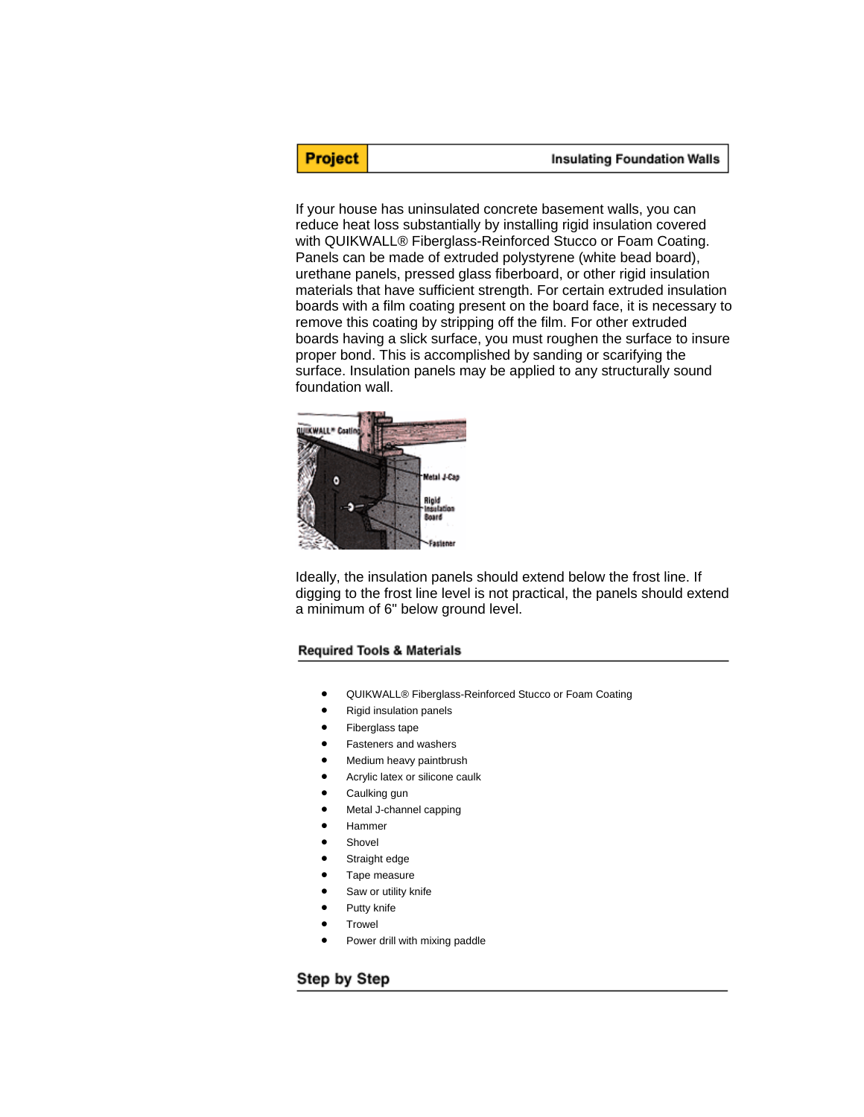# **Project**

#### **Insulating Foundation Walls**

If your house has uninsulated concrete basement walls, you can reduce heat loss substantially by installing rigid insulation covered with QUIKWALL® Fiberglass-Reinforced Stucco or Foam Coating. Panels can be made of extruded polystyrene (white bead board), urethane panels, pressed glass fiberboard, or other rigid insulation materials that have sufficient strength. For certain extruded insulation boards with a film coating present on the board face, it is necessary to remove this coating by stripping off the film. For other extruded boards having a slick surface, you must roughen the surface to insure proper bond. This is accomplished by sanding or scarifying the surface. Insulation panels may be applied to any structurally sound foundation wall.



Ideally, the insulation panels should extend below the frost line. If digging to the frost line level is not practical, the panels should extend a minimum of 6" below ground level.

## **Required Tools & Materials**

- QUIKWALL® Fiberglass-Reinforced Stucco or Foam Coating
- Rigid insulation panels
- Fiberglass tape
- Fasteners and washers
- Medium heavy paintbrush
- Acrylic latex or silicone caulk
- Caulking gun
- Metal J-channel capping
- Hammer
- **Shovel**
- Straight edge
- Tape measure
- Saw or utility knife
- Putty knife
- **Trowel**
- Power drill with mixing paddle

## Step by Step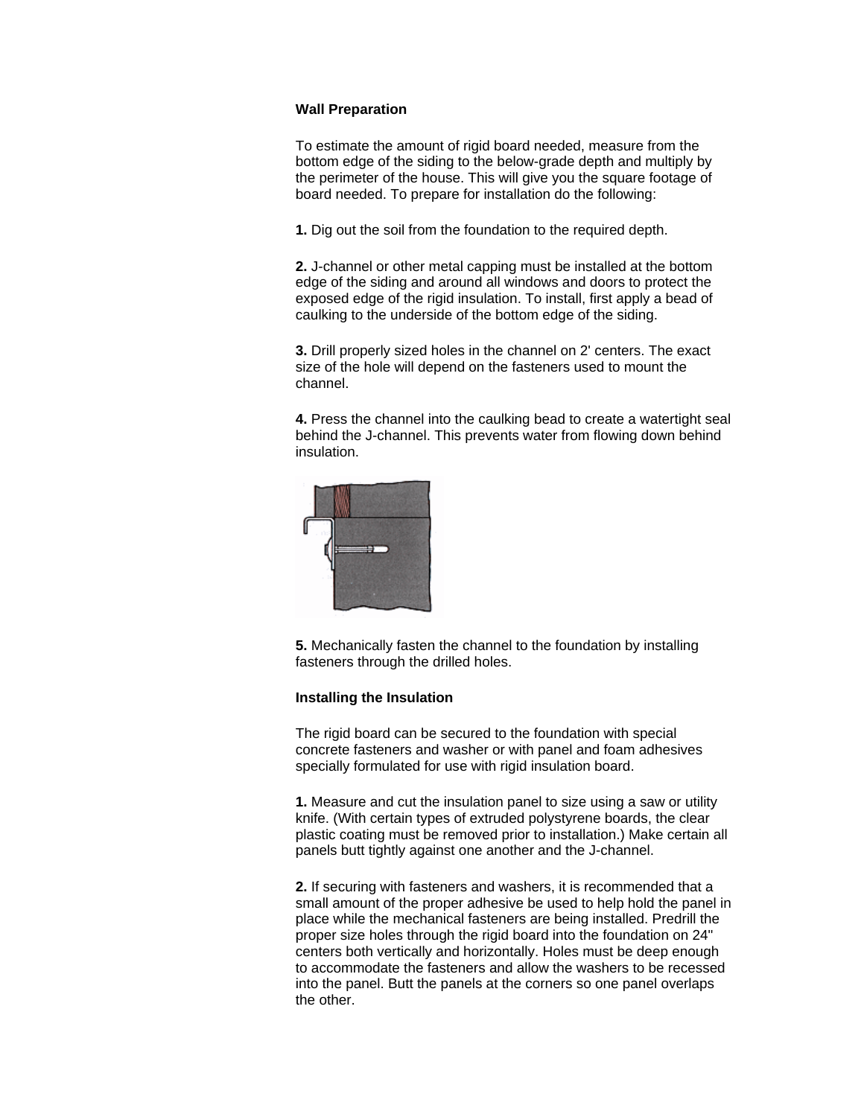## **Wall Preparation**

To estimate the amount of rigid board needed, measure from the bottom edge of the siding to the below-grade depth and multiply by the perimeter of the house. This will give you the square footage of board needed. To prepare for installation do the following:

**1.** Dig out the soil from the foundation to the required depth.

**2.** J-channel or other metal capping must be installed at the bottom edge of the siding and around all windows and doors to protect the exposed edge of the rigid insulation. To install, first apply a bead of caulking to the underside of the bottom edge of the siding.

**3.** Drill properly sized holes in the channel on 2' centers. The exact size of the hole will depend on the fasteners used to mount the channel.

**4.** Press the channel into the caulking bead to create a watertight seal behind the J-channel. This prevents water from flowing down behind insulation.



**5.** Mechanically fasten the channel to the foundation by installing fasteners through the drilled holes.

#### **Installing the Insulation**

The rigid board can be secured to the foundation with special concrete fasteners and washer or with panel and foam adhesives specially formulated for use with rigid insulation board.

**1.** Measure and cut the insulation panel to size using a saw or utility knife. (With certain types of extruded polystyrene boards, the clear plastic coating must be removed prior to installation.) Make certain all panels butt tightly against one another and the J-channel.

**2.** If securing with fasteners and washers, it is recommended that a small amount of the proper adhesive be used to help hold the panel in place while the mechanical fasteners are being installed. Predrill the proper size holes through the rigid board into the foundation on 24" centers both vertically and horizontally. Holes must be deep enough to accommodate the fasteners and allow the washers to be recessed into the panel. Butt the panels at the corners so one panel overlaps the other.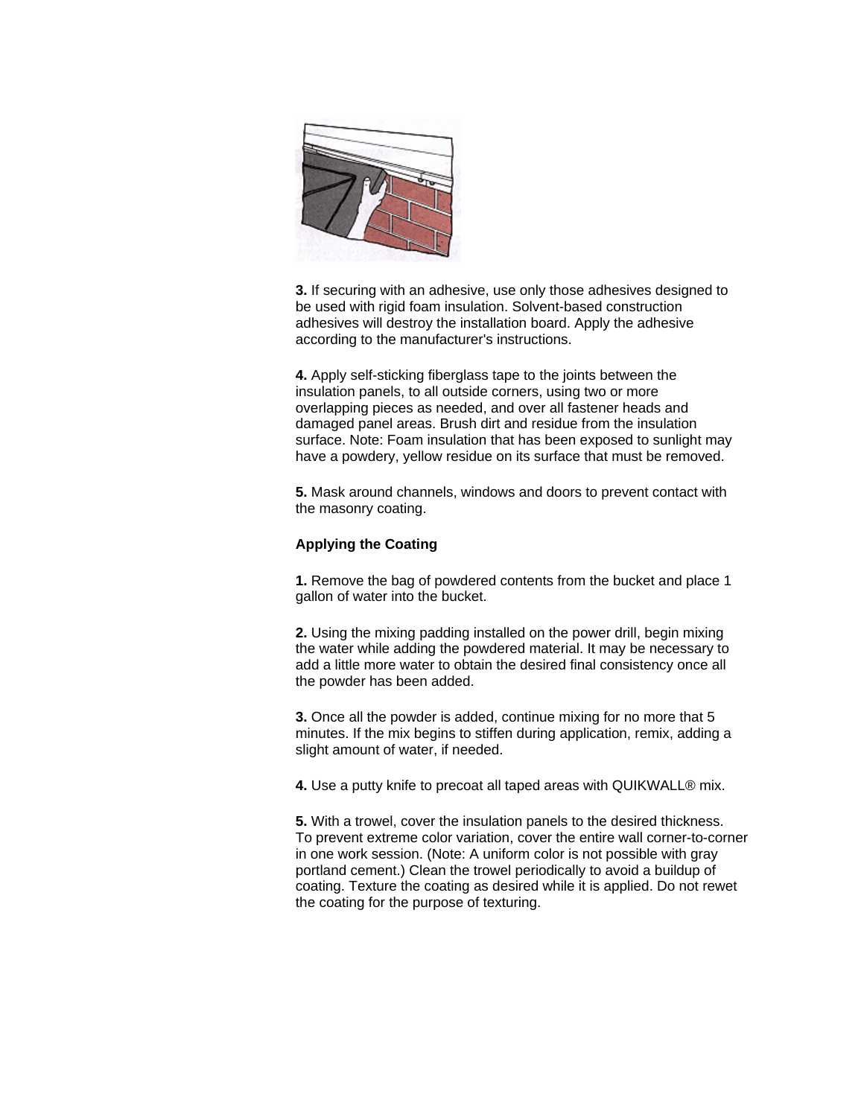

**3.** If securing with an adhesive, use only those adhesives designed to be used with rigid foam insulation. Solvent-based construction adhesives will destroy the installation board. Apply the adhesive according to the manufacturer's instructions.

**4.** Apply self-sticking fiberglass tape to the joints between the insulation panels, to all outside corners, using two or more overlapping pieces as needed, and over all fastener heads and damaged panel areas. Brush dirt and residue from the insulation surface. Note: Foam insulation that has been exposed to sunlight may have a powdery, yellow residue on its surface that must be removed.

**5.** Mask around channels, windows and doors to prevent contact with the masonry coating.

## **Applying the Coating**

**1.** Remove the bag of powdered contents from the bucket and place 1 gallon of water into the bucket.

**2.** Using the mixing padding installed on the power drill, begin mixing the water while adding the powdered material. It may be necessary to add a little more water to obtain the desired final consistency once all the powder has been added.

**3.** Once all the powder is added, continue mixing for no more that 5 minutes. If the mix begins to stiffen during application, remix, adding a slight amount of water, if needed.

**4.** Use a putty knife to precoat all taped areas with QUIKWALL® mix.

**5.** With a trowel, cover the insulation panels to the desired thickness. To prevent extreme color variation, cover the entire wall corner-to-corner in one work session. (Note: A uniform color is not possible with gray portland cement.) Clean the trowel periodically to avoid a buildup of coating. Texture the coating as desired while it is applied. Do not rewet the coating for the purpose of texturing.